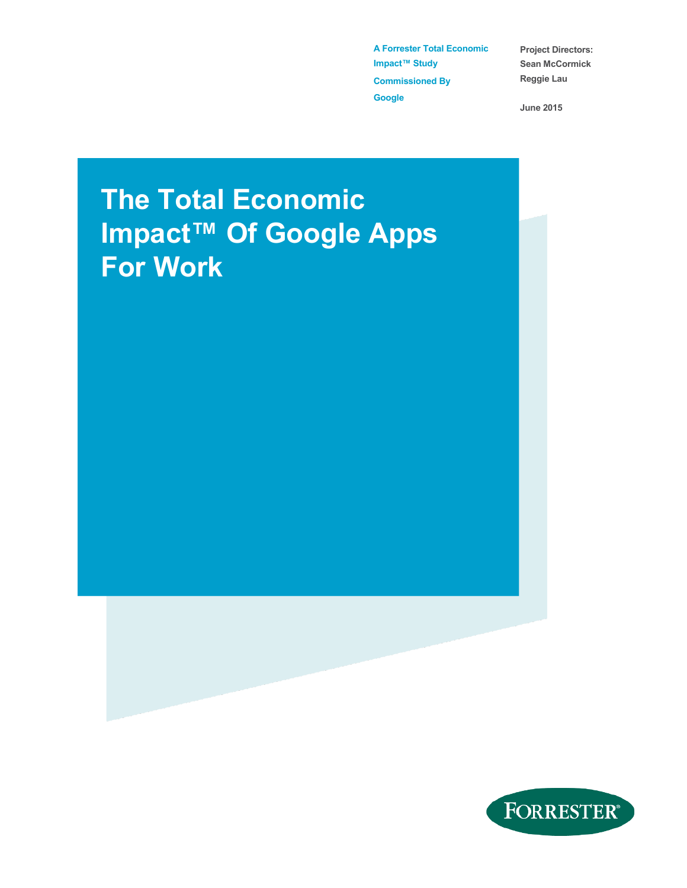**A Forrester Total Economic Impact™ Study Commissioned By Google** 

**Project Directors: Sean McCormick Reggie Lau** 

**June 2015** 

# **The Total Economic Impact™ Of Google Apps For Work**

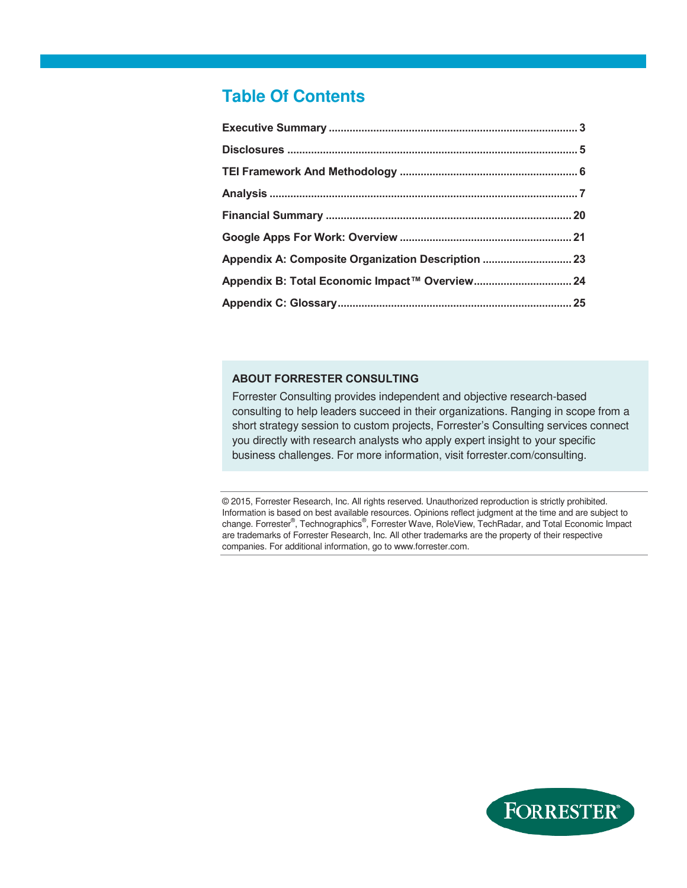### **Table Of Contents**

| Appendix A: Composite Organization Description  23 |  |
|----------------------------------------------------|--|
|                                                    |  |
|                                                    |  |

#### **ABOUT FORRESTER CONSULTING**

Forrester Consulting provides independent and objective research-based consulting to help leaders succeed in their organizations. Ranging in scope from a short strategy session to custom projects, Forrester's Consulting services connect you directly with research analysts who apply expert insight to your specific business challenges. For more information, visit forrester.com/consulting.

© 2015, Forrester Research, Inc. All rights reserved. Unauthorized reproduction is strictly prohibited. Information is based on best available resources. Opinions reflect judgment at the time and are subject to change. Forrester®, Technographics®, Forrester Wave, RoleView, TechRadar, and Total Economic Impact are trademarks of Forrester Research, Inc. All other trademarks are the property of their respective companies. For additional information, go to www.forrester.com.

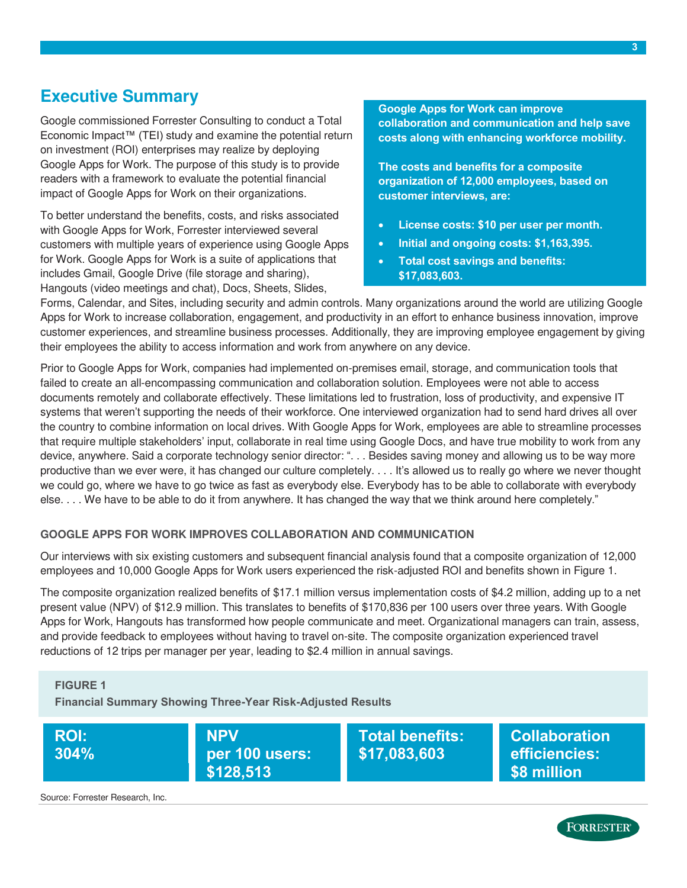### <span id="page-2-0"></span>**Executive Summary**

Google commissioned Forrester Consulting to conduct a Total Economic Impact™ (TEI) study and examine the potential return on investment (ROI) enterprises may realize by deploying Google Apps for Work. The purpose of this study is to provide readers with a framework to evaluate the potential financial impact of Google Apps for Work on their organizations.

To better understand the benefits, costs, and risks associated with Google Apps for Work, Forrester interviewed several customers with multiple years of experience using Google Apps for Work. Google Apps for Work is a suite of applications that includes Gmail, Google Drive (file storage and sharing), Hangouts (video meetings and chat), Docs, Sheets, Slides,

**Google Apps for Work can improve collaboration and communication and help save costs along with enhancing workforce mobility.** 

**The costs and benefits for a composite organization of 12,000 employees, based on customer interviews, are:** 

- **License costs: \$10 per user per month.**
- **Initial and ongoing costs: \$1,163,395.**
- **Total cost savings and benefits: \$17,083,603.**

Forms, Calendar, and Sites, including security and admin controls. Many organizations around the world are utilizing Google Apps for Work to increase collaboration, engagement, and productivity in an effort to enhance business innovation, improve customer experiences, and streamline business processes. Additionally, they are improving employee engagement by giving their employees the ability to access information and work from anywhere on any device.

Prior to Google Apps for Work, companies had implemented on-premises email, storage, and communication tools that failed to create an all-encompassing communication and collaboration solution. Employees were not able to access documents remotely and collaborate effectively. These limitations led to frustration, loss of productivity, and expensive IT systems that weren't supporting the needs of their workforce. One interviewed organization had to send hard drives all over the country to combine information on local drives. With Google Apps for Work, employees are able to streamline processes that require multiple stakeholders' input, collaborate in real time using Google Docs, and have true mobility to work from any device, anywhere. Said a corporate technology senior director: ". . . Besides saving money and allowing us to be way more productive than we ever were, it has changed our culture completely. . . . It's allowed us to really go where we never thought we could go, where we have to go twice as fast as everybody else. Everybody has to be able to collaborate with everybody else. . . . We have to be able to do it from anywhere. It has changed the way that we think around here completely."

#### **GOOGLE APPS FOR WORK IMPROVES COLLABORATION AND COMMUNICATION**

Our interviews with six existing customers and subsequent financial analysis found that a composite organization of 12,000 employees and 10,000 Google Apps for Work users experienced the risk-adjusted ROI and benefits shown in Figure 1.

The composite organization realized benefits of \$17.1 million versus implementation costs of \$4.2 million, adding up to a net present value (NPV) of \$12.9 million. This translates to benefits of \$170,836 per 100 users over three years. With Google Apps for Work, Hangouts has transformed how people communicate and meet. Organizational managers can train, assess, and provide feedback to employees without having to travel on-site. The composite organization experienced travel reductions of 12 trips per manager per year, leading to \$2.4 million in annual savings.

#### **FIGURE 1**

**Financial Summary Showing Three-Year Risk-Adjusted Results** 



Source: Forrester Research, Inc.



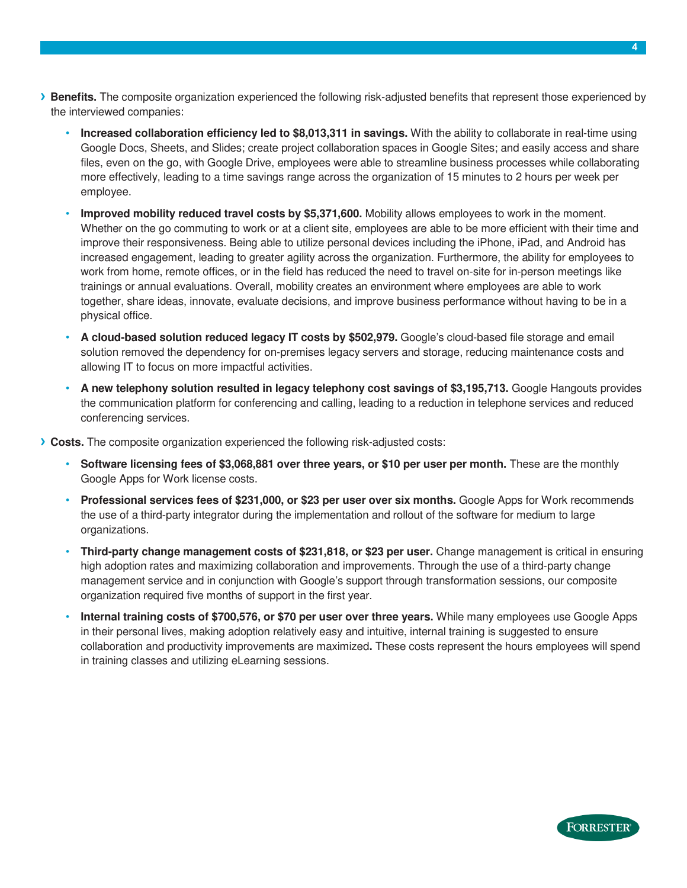- **› Benefits.** The composite organization experienced the following risk-adjusted benefits that represent those experienced by the interviewed companies:
	- **Increased collaboration efficiency led to \$8,013,311 in savings.** With the ability to collaborate in real-time using Google Docs, Sheets, and Slides; create project collaboration spaces in Google Sites; and easily access and share files, even on the go, with Google Drive, employees were able to streamline business processes while collaborating more effectively, leading to a time savings range across the organization of 15 minutes to 2 hours per week per employee.
	- **Improved mobility reduced travel costs by \$5,371,600.** Mobility allows employees to work in the moment. Whether on the go commuting to work or at a client site, employees are able to be more efficient with their time and improve their responsiveness. Being able to utilize personal devices including the iPhone, iPad, and Android has increased engagement, leading to greater agility across the organization. Furthermore, the ability for employees to work from home, remote offices, or in the field has reduced the need to travel on-site for in-person meetings like trainings or annual evaluations. Overall, mobility creates an environment where employees are able to work together, share ideas, innovate, evaluate decisions, and improve business performance without having to be in a physical office.
	- **A cloud-based solution reduced legacy IT costs by \$502,979.** Google's cloud-based file storage and email solution removed the dependency for on-premises legacy servers and storage, reducing maintenance costs and allowing IT to focus on more impactful activities.
	- **A new telephony solution resulted in legacy telephony cost savings of \$3,195,713.** Google Hangouts provides the communication platform for conferencing and calling, leading to a reduction in telephone services and reduced conferencing services.
- **› Costs.** The composite organization experienced the following risk-adjusted costs:
	- **Software licensing fees of \$3,068,881 over three years, or \$10 per user per month.** These are the monthly Google Apps for Work license costs.
	- **Professional services fees of \$231,000, or \$23 per user over six months.** Google Apps for Work recommends the use of a third-party integrator during the implementation and rollout of the software for medium to large organizations.
	- **Third-party change management costs of \$231,818, or \$23 per user.** Change management is critical in ensuring high adoption rates and maximizing collaboration and improvements. Through the use of a third-party change management service and in conjunction with Google's support through transformation sessions, our composite organization required five months of support in the first year.
	- **Internal training costs of \$700,576, or \$70 per user over three years.** While many employees use Google Apps in their personal lives, making adoption relatively easy and intuitive, internal training is suggested to ensure collaboration and productivity improvements are maximized**.** These costs represent the hours employees will spend in training classes and utilizing eLearning sessions.

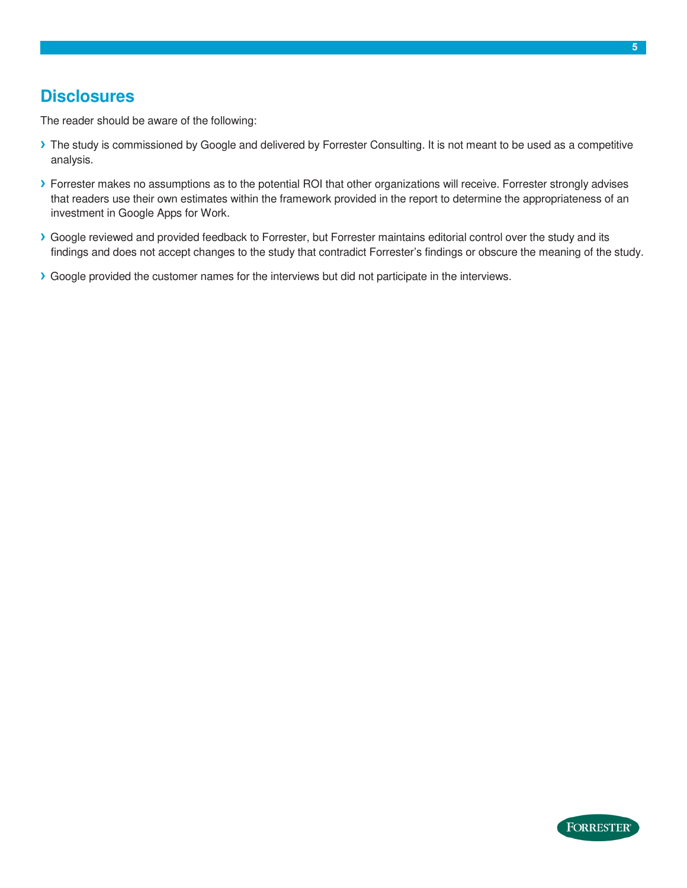### <span id="page-4-0"></span>**Disclosures**

The reader should be aware of the following:

- **›** The study is commissioned by Google and delivered by Forrester Consulting. It is not meant to be used as a competitive analysis.
- **›** Forrester makes no assumptions as to the potential ROI that other organizations will receive. Forrester strongly advises that readers use their own estimates within the framework provided in the report to determine the appropriateness of an investment in Google Apps for Work.
- **›** Google reviewed and provided feedback to Forrester, but Forrester maintains editorial control over the study and its findings and does not accept changes to the study that contradict Forrester's findings or obscure the meaning of the study.
- **›** Google provided the customer names for the interviews but did not participate in the interviews.

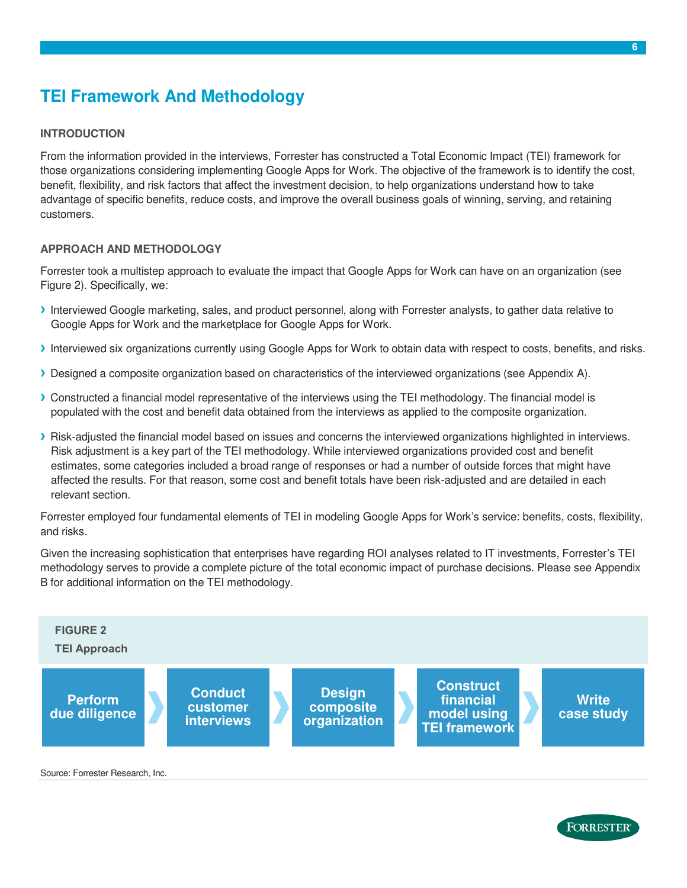# <span id="page-5-0"></span>**TEI Framework And Methodology**

#### **INTRODUCTION**

From the information provided in the interviews, Forrester has constructed a Total Economic Impact (TEI) framework for those organizations considering implementing Google Apps for Work. The objective of the framework is to identify the cost, benefit, flexibility, and risk factors that affect the investment decision, to help organizations understand how to take advantage of specific benefits, reduce costs, and improve the overall business goals of winning, serving, and retaining customers.

#### **APPROACH AND METHODOLOGY**

Forrester took a multistep approach to evaluate the impact that Google Apps for Work can have on an organization (see Figure 2). Specifically, we:

- **›** Interviewed Google marketing, sales, and product personnel, along with Forrester analysts, to gather data relative to Google Apps for Work and the marketplace for Google Apps for Work.
- **›** Interviewed six organizations currently using Google Apps for Work to obtain data with respect to costs, benefits, and risks.
- **›** Designed a composite organization based on characteristics of the interviewed organizations (see Appendix A).
- **›** Constructed a financial model representative of the interviews using the TEI methodology. The financial model is populated with the cost and benefit data obtained from the interviews as applied to the composite organization.
- **›** Risk-adjusted the financial model based on issues and concerns the interviewed organizations highlighted in interviews. Risk adjustment is a key part of the TEI methodology. While interviewed organizations provided cost and benefit estimates, some categories included a broad range of responses or had a number of outside forces that might have affected the results. For that reason, some cost and benefit totals have been risk-adjusted and are detailed in each relevant section.

Forrester employed four fundamental elements of TEI in modeling Google Apps for Work's service: benefits, costs, flexibility, and risks.

Given the increasing sophistication that enterprises have regarding ROI analyses related to IT investments, Forrester's TEI methodology serves to provide a complete picture of the total economic impact of purchase decisions. Please see Appendix B for additional information on the TEI methodology.



Source: Forrester Research, Inc.

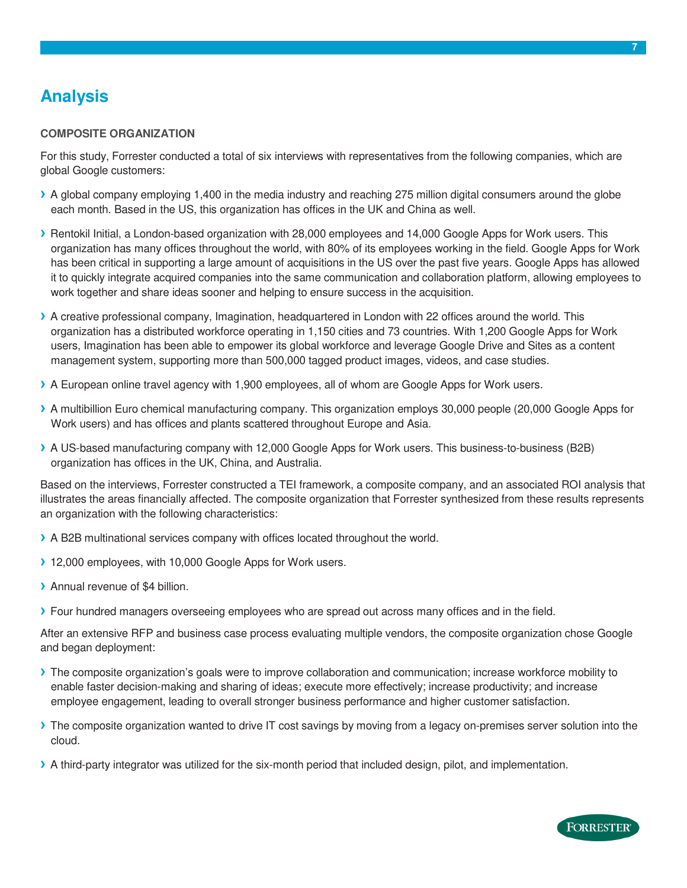# <span id="page-6-0"></span>**Analysis**

#### **COMPOSITE ORGANIZATION**

For this study, Forrester conducted a total of six interviews with representatives from the following companies, which are global Google customers:

- **›** A global company employing 1,400 in the media industry and reaching 275 million digital consumers around the globe each month. Based in the US, this organization has offices in the UK and China as well.
- **›** Rentokil Initial, a London-based organization with 28,000 employees and 14,000 Google Apps for Work users. This organization has many offices throughout the world, with 80% of its employees working in the field. Google Apps for Work has been critical in supporting a large amount of acquisitions in the US over the past five years. Google Apps has allowed it to quickly integrate acquired companies into the same communication and collaboration platform, allowing employees to work together and share ideas sooner and helping to ensure success in the acquisition.
- **›** A creative professional company, Imagination, headquartered in London with 22 offices around the world. This organization has a distributed workforce operating in 1,150 cities and 73 countries. With 1,200 Google Apps for Work users, Imagination has been able to empower its global workforce and leverage Google Drive and Sites as a content management system, supporting more than 500,000 tagged product images, videos, and case studies.
- **›** A European online travel agency with 1,900 employees, all of whom are Google Apps for Work users.
- **›** A multibillion Euro chemical manufacturing company. This organization employs 30,000 people (20,000 Google Apps for Work users) and has offices and plants scattered throughout Europe and Asia.
- **›** A US-based manufacturing company with 12,000 Google Apps for Work users. This business-to-business (B2B) organization has offices in the UK, China, and Australia.

Based on the interviews, Forrester constructed a TEI framework, a composite company, and an associated ROI analysis that illustrates the areas financially affected. The composite organization that Forrester synthesized from these results represents an organization with the following characteristics:

- **›** A B2B multinational services company with offices located throughout the world.
- **›** 12,000 employees, with 10,000 Google Apps for Work users.
- **›** Annual revenue of \$4 billion.
- **›** Four hundred managers overseeing employees who are spread out across many offices and in the field.

After an extensive RFP and business case process evaluating multiple vendors, the composite organization chose Google and began deployment:

- **›** The composite organization's goals were to improve collaboration and communication; increase workforce mobility to enable faster decision-making and sharing of ideas; execute more effectively; increase productivity; and increase employee engagement, leading to overall stronger business performance and higher customer satisfaction.
- **›** The composite organization wanted to drive IT cost savings by moving from a legacy on-premises server solution into the cloud.
- **›** A third-party integrator was utilized for the six-month period that included design, pilot, and implementation.

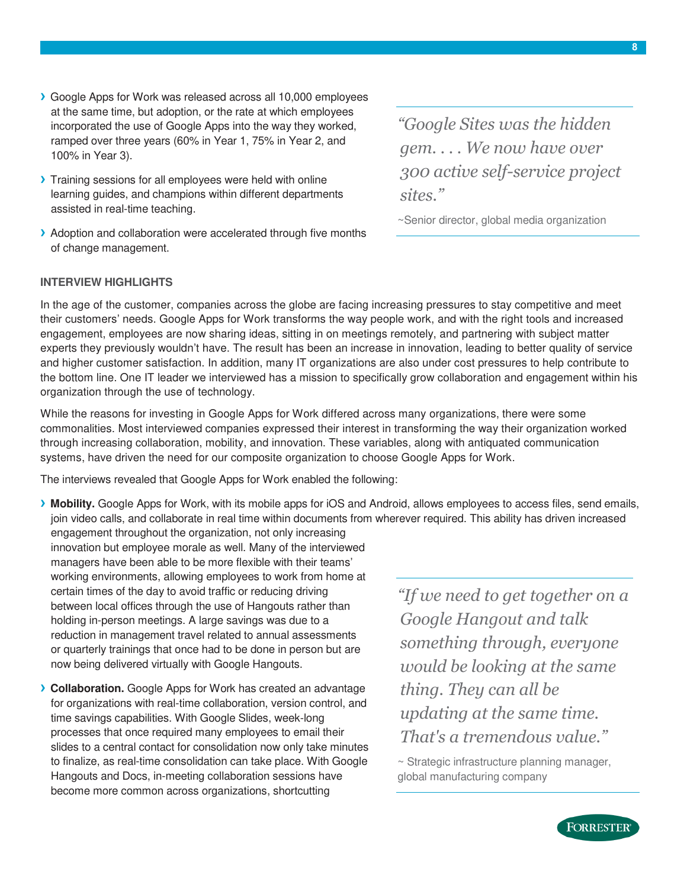- **›** Google Apps for Work was released across all 10,000 employees at the same time, but adoption, or the rate at which employees incorporated the use of Google Apps into the way they worked, ramped over three years (60% in Year 1, 75% in Year 2, and 100% in Year 3).
- **›** Training sessions for all employees were held with online learning guides, and champions within different departments assisted in real-time teaching.
- **›** Adoption and collaboration were accelerated through five months of change management.

*"Google Sites was the hidden gem. . . . We now have over 300 active self-service project sites."*

~Senior director, global media organization

#### **INTERVIEW HIGHLIGHTS**

In the age of the customer, companies across the globe are facing increasing pressures to stay competitive and meet their customers' needs. Google Apps for Work transforms the way people work, and with the right tools and increased engagement, employees are now sharing ideas, sitting in on meetings remotely, and partnering with subject matter experts they previously wouldn't have. The result has been an increase in innovation, leading to better quality of service and higher customer satisfaction. In addition, many IT organizations are also under cost pressures to help contribute to the bottom line. One IT leader we interviewed has a mission to specifically grow collaboration and engagement within his organization through the use of technology.

While the reasons for investing in Google Apps for Work differed across many organizations, there were some commonalities. Most interviewed companies expressed their interest in transforming the way their organization worked through increasing collaboration, mobility, and innovation. These variables, along with antiquated communication systems, have driven the need for our composite organization to choose Google Apps for Work.

The interviews revealed that Google Apps for Work enabled the following:

**› Mobility.** Google Apps for Work, with its mobile apps for iOS and Android, allows employees to access files, send emails, join video calls, and collaborate in real time within documents from wherever required. This ability has driven increased

engagement throughout the organization, not only increasing innovation but employee morale as well. Many of the interviewed managers have been able to be more flexible with their teams' working environments, allowing employees to work from home at certain times of the day to avoid traffic or reducing driving between local offices through the use of Hangouts rather than holding in-person meetings. A large savings was due to a reduction in management travel related to annual assessments or quarterly trainings that once had to be done in person but are now being delivered virtually with Google Hangouts.

**› Collaboration.** Google Apps for Work has created an advantage for organizations with real-time collaboration, version control, and time savings capabilities. With Google Slides, week-long processes that once required many employees to email their slides to a central contact for consolidation now only take minutes to finalize, as real-time consolidation can take place. With Google Hangouts and Docs, in-meeting collaboration sessions have become more common across organizations, shortcutting

*"If we need to get together on a Google Hangout and talk something through, everyone would be looking at the same thing. They can all be updating at the same time. That's a tremendous value."*

~ Strategic infrastructure planning manager, global manufacturing company

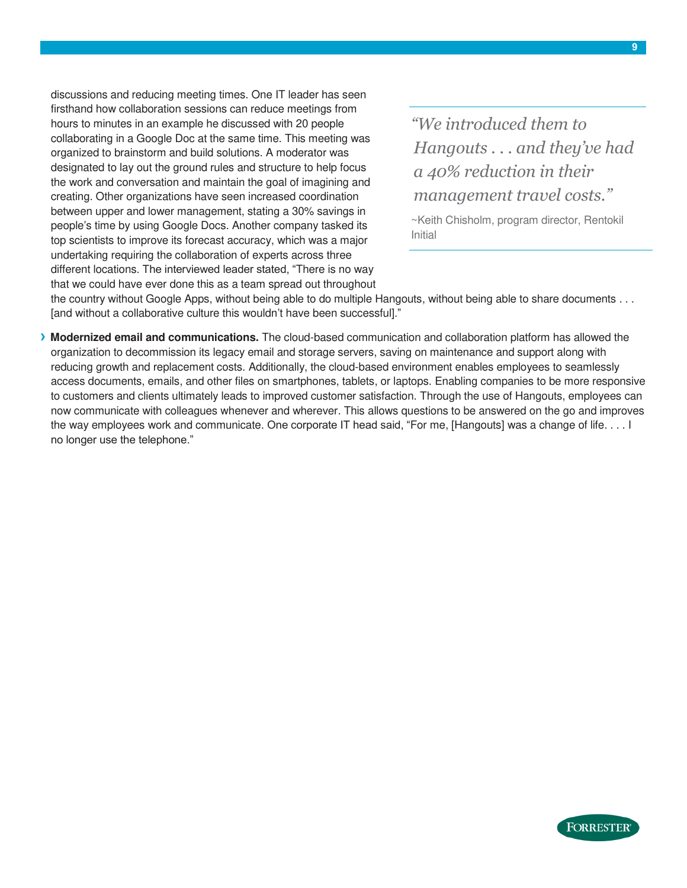discussions and reducing meeting times. One IT leader has seen firsthand how collaboration sessions can reduce meetings from hours to minutes in an example he discussed with 20 people collaborating in a Google Doc at the same time. This meeting was organized to brainstorm and build solutions. A moderator was designated to lay out the ground rules and structure to help focus the work and conversation and maintain the goal of imagining and creating. Other organizations have seen increased coordination between upper and lower management, stating a 30% savings in people's time by using Google Docs. Another company tasked its top scientists to improve its forecast accuracy, which was a major undertaking requiring the collaboration of experts across three different locations. The interviewed leader stated, "There is no way that we could have ever done this as a team spread out throughout

*"We introduced them to Hangouts . . . and they've had a 40% reduction in their management travel costs."*

~Keith Chisholm, program director, Rentokil Initial

the country without Google Apps, without being able to do multiple Hangouts, without being able to share documents . . . [and without a collaborative culture this wouldn't have been successful]."

**› Modernized email and communications.** The cloud-based communication and collaboration platform has allowed the organization to decommission its legacy email and storage servers, saving on maintenance and support along with reducing growth and replacement costs. Additionally, the cloud-based environment enables employees to seamlessly access documents, emails, and other files on smartphones, tablets, or laptops. Enabling companies to be more responsive to customers and clients ultimately leads to improved customer satisfaction. Through the use of Hangouts, employees can now communicate with colleagues whenever and wherever. This allows questions to be answered on the go and improves the way employees work and communicate. One corporate IT head said, "For me, [Hangouts] was a change of life. . . . I no longer use the telephone."

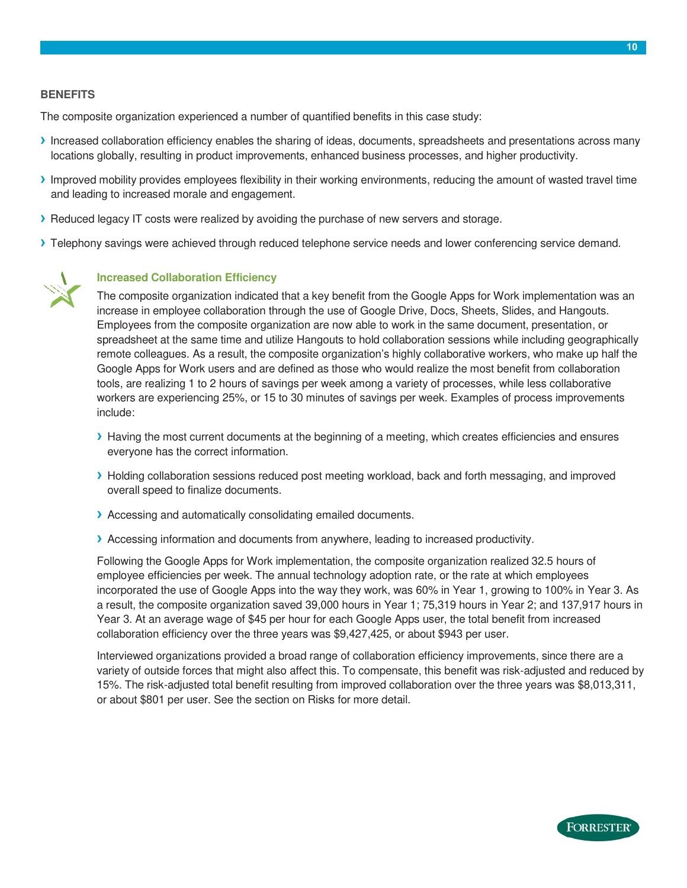#### **BENEFITS**

The composite organization experienced a number of quantified benefits in this case study:

- **›** Increased collaboration efficiency enables the sharing of ideas, documents, spreadsheets and presentations across many locations globally, resulting in product improvements, enhanced business processes, and higher productivity.
- **›** Improved mobility provides employees flexibility in their working environments, reducing the amount of wasted travel time and leading to increased morale and engagement.
- **›** Reduced legacy IT costs were realized by avoiding the purchase of new servers and storage.
- **›** Telephony savings were achieved through reduced telephone service needs and lower conferencing service demand.



#### **Increased Collaboration Efficiency**

The composite organization indicated that a key benefit from the Google Apps for Work implementation was an increase in employee collaboration through the use of Google Drive, Docs, Sheets, Slides, and Hangouts. Employees from the composite organization are now able to work in the same document, presentation, or spreadsheet at the same time and utilize Hangouts to hold collaboration sessions while including geographically remote colleagues. As a result, the composite organization's highly collaborative workers, who make up half the Google Apps for Work users and are defined as those who would realize the most benefit from collaboration tools, are realizing 1 to 2 hours of savings per week among a variety of processes, while less collaborative workers are experiencing 25%, or 15 to 30 minutes of savings per week. Examples of process improvements include:

- **›** Having the most current documents at the beginning of a meeting, which creates efficiencies and ensures everyone has the correct information.
- **›** Holding collaboration sessions reduced post meeting workload, back and forth messaging, and improved overall speed to finalize documents.
- **›** Accessing and automatically consolidating emailed documents.
- **›** Accessing information and documents from anywhere, leading to increased productivity.

Following the Google Apps for Work implementation, the composite organization realized 32.5 hours of employee efficiencies per week. The annual technology adoption rate, or the rate at which employees incorporated the use of Google Apps into the way they work, was 60% in Year 1, growing to 100% in Year 3. As a result, the composite organization saved 39,000 hours in Year 1; 75,319 hours in Year 2; and 137,917 hours in Year 3. At an average wage of \$45 per hour for each Google Apps user, the total benefit from increased collaboration efficiency over the three years was \$9,427,425, or about \$943 per user.

Interviewed organizations provided a broad range of collaboration efficiency improvements, since there are a variety of outside forces that might also affect this. To compensate, this benefit was risk-adjusted and reduced by 15%. The risk-adjusted total benefit resulting from improved collaboration over the three years was \$8,013,311, or about \$801 per user. See the section on Risks for more detail.

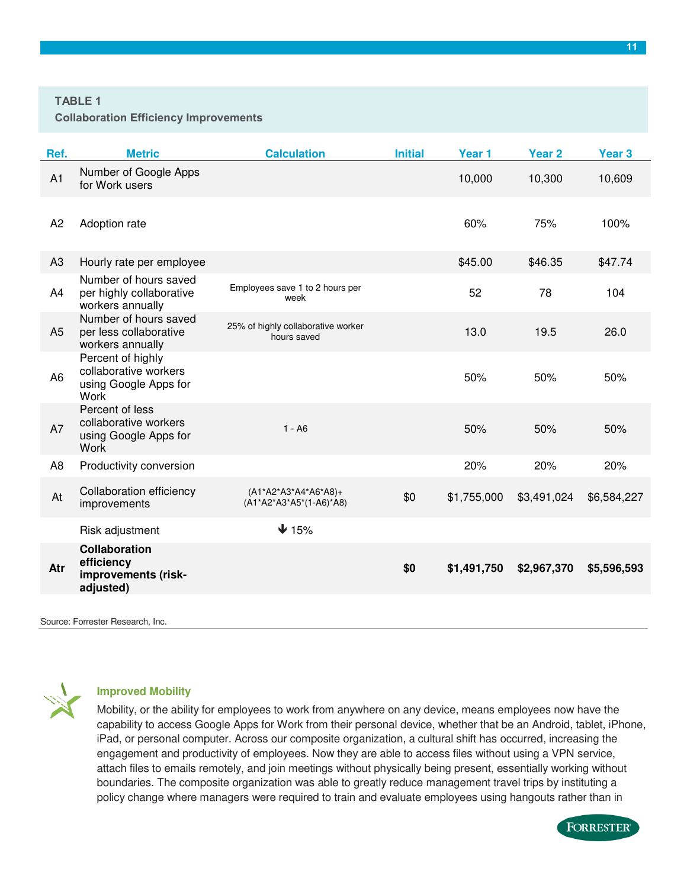#### **TABLE 1**

**Collaboration Efficiency Improvements** 

| Ref.           | <b>Metric</b>                                                                      | <b>Calculation</b>                                  | <b>Initial</b> | Year <sub>1</sub> | Year <sub>2</sub> | Year <sub>3</sub> |
|----------------|------------------------------------------------------------------------------------|-----------------------------------------------------|----------------|-------------------|-------------------|-------------------|
| A1             | Number of Google Apps<br>for Work users                                            |                                                     |                | 10,000            | 10,300            | 10,609            |
| A <sub>2</sub> | Adoption rate                                                                      |                                                     |                | 60%               | 75%               | 100%              |
| A3             | Hourly rate per employee                                                           |                                                     |                | \$45.00           | \$46.35           | \$47.74           |
| A4             | Number of hours saved<br>per highly collaborative<br>workers annually              | Employees save 1 to 2 hours per<br>week             |                | 52                | 78                | 104               |
| A <sub>5</sub> | Number of hours saved<br>per less collaborative<br>workers annually                | 25% of highly collaborative worker<br>hours saved   |                | 13.0              | 19.5              | 26.0              |
| A <sub>6</sub> | Percent of highly<br>collaborative workers<br>using Google Apps for<br><b>Work</b> |                                                     |                | 50%               | 50%               | 50%               |
| A7             | Percent of less<br>collaborative workers<br>using Google Apps for<br><b>Work</b>   | $1 - A6$                                            |                | 50%               | 50%               | 50%               |
| A <sub>8</sub> | Productivity conversion                                                            |                                                     |                | 20%               | 20%               | 20%               |
| At             | Collaboration efficiency<br>improvements                                           | $(A1*A2*A3*A4*A6*A8)+$<br>$(A1*A2*A3*A5*(1-AB)*AB)$ | \$0            | \$1,755,000       | \$3,491,024       | \$6,584,227       |
|                | Risk adjustment                                                                    | $\downarrow$ 15%                                    |                |                   |                   |                   |
| Atr            | Collaboration<br>efficiency<br>improvements (risk-<br>adjusted)                    |                                                     | \$0            | \$1,491,750       | \$2,967,370       | \$5,596,593       |
|                |                                                                                    |                                                     |                |                   |                   |                   |

Source: Forrester Research, Inc.



#### **Improved Mobility**

Mobility, or the ability for employees to work from anywhere on any device, means employees now have the capability to access Google Apps for Work from their personal device, whether that be an Android, tablet, iPhone, iPad, or personal computer. Across our composite organization, a cultural shift has occurred, increasing the engagement and productivity of employees. Now they are able to access files without using a VPN service, attach files to emails remotely, and join meetings without physically being present, essentially working without boundaries. The composite organization was able to greatly reduce management travel trips by instituting a policy change where managers were required to train and evaluate employees using hangouts rather than in

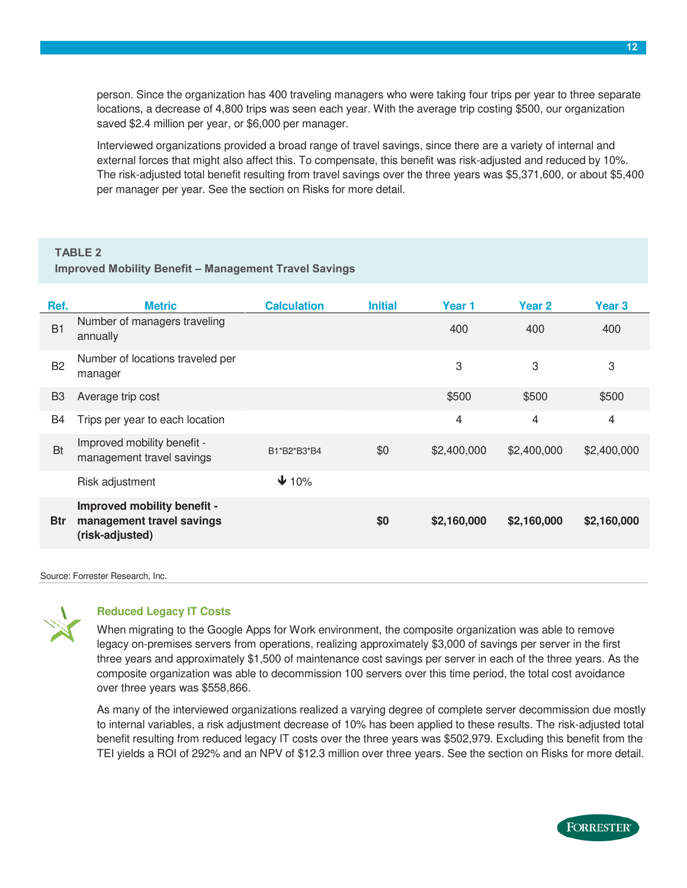person. Since the organization has 400 traveling managers who were taking four trips per year to three separate locations, a decrease of 4,800 trips was seen each year. With the average trip costing \$500, our organization saved \$2.4 million per year, or \$6,000 per manager.

Interviewed organizations provided a broad range of travel savings, since there are a variety of internal and external forces that might also affect this. To compensate, this benefit was risk-adjusted and reduced by 10%. The risk-adjusted total benefit resulting from travel savings over the three years was \$5,371,600, or about \$5,400 per manager per year. See the section on Risks for more detail.

#### **TABLE 2**

#### **Improved Mobility Benefit – Management Travel Savings**

| Ref.           | <b>Metric</b>                                                               | <b>Calculation</b> | <b>Initial</b> | Year 1      | Year <sub>2</sub> | Year 3      |
|----------------|-----------------------------------------------------------------------------|--------------------|----------------|-------------|-------------------|-------------|
| B1             | Number of managers traveling<br>annually                                    |                    |                | 400         | 400               | 400         |
| <b>B2</b>      | Number of locations traveled per<br>manager                                 |                    |                | 3           | 3                 | 3           |
| B <sub>3</sub> | Average trip cost                                                           |                    |                | \$500       | \$500             | \$500       |
| B4             | Trips per year to each location                                             |                    |                | 4           | 4                 | 4           |
| <b>Bt</b>      | Improved mobility benefit -<br>management travel savings                    | B1*B2*B3*B4        | \$0            | \$2,400,000 | \$2,400,000       | \$2,400,000 |
|                | Risk adjustment                                                             | $\bigvee$ 10%      |                |             |                   |             |
| <b>Btr</b>     | Improved mobility benefit -<br>management travel savings<br>(risk-adjusted) |                    | \$0            | \$2,160,000 | \$2,160,000       | \$2,160,000 |
|                |                                                                             |                    |                |             |                   |             |

Source: Forrester Research, Inc.



#### **Reduced Legacy IT Costs**

When migrating to the Google Apps for Work environment, the composite organization was able to remove legacy on-premises servers from operations, realizing approximately \$3,000 of savings per server in the first three years and approximately \$1,500 of maintenance cost savings per server in each of the three years. As the composite organization was able to decommission 100 servers over this time period, the total cost avoidance over three years was \$558,866.

As many of the interviewed organizations realized a varying degree of complete server decommission due mostly to internal variables, a risk adjustment decrease of 10% has been applied to these results. The risk-adjusted total benefit resulting from reduced legacy IT costs over the three years was \$502,979. Excluding this benefit from the TEI yields a ROI of 292% and an NPV of \$12.3 million over three years. See the section on Risks for more detail.

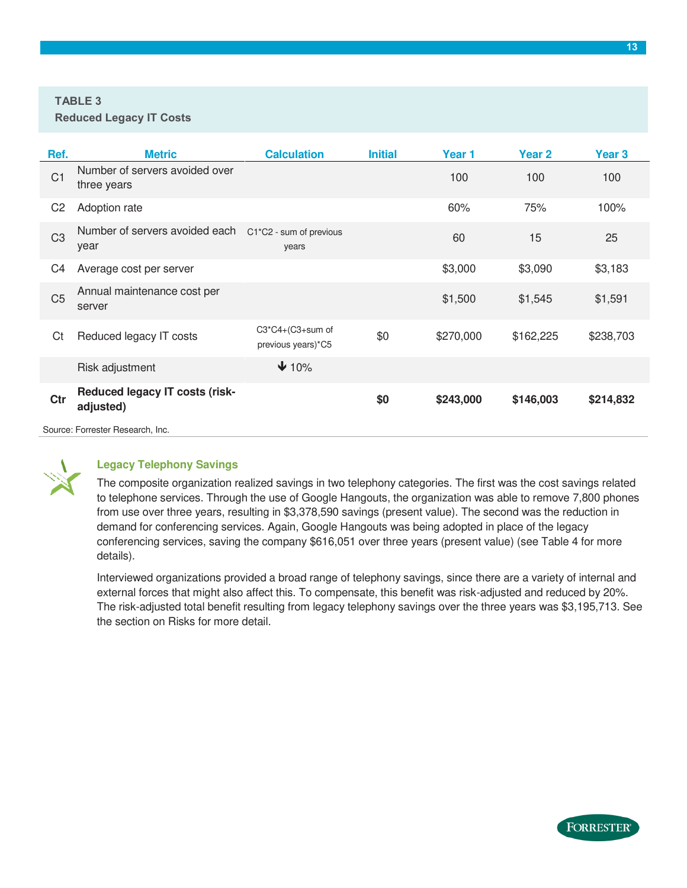#### **TABLE 3**

| Ref.           | <b>Metric</b>                                      | <b>Calculation</b>                       | <b>Initial</b> | Year 1    | Year <sub>2</sub> | Year 3    |
|----------------|----------------------------------------------------|------------------------------------------|----------------|-----------|-------------------|-----------|
| C <sub>1</sub> | Number of servers avoided over<br>three years      |                                          |                | 100       | 100               | 100       |
| C <sub>2</sub> | Adoption rate                                      |                                          |                | 60%       | 75%               | 100%      |
| C <sub>3</sub> | Number of servers avoided each<br>year             | C1*C2 - sum of previous<br>years         |                | 60        | 15                | 25        |
| C4             | Average cost per server                            |                                          |                | \$3,000   | \$3,090           | \$3,183   |
| C <sub>5</sub> | Annual maintenance cost per<br>server              |                                          |                | \$1,500   | \$1,545           | \$1,591   |
| Ct             | Reduced legacy IT costs                            | $C3*C4+(C3+sum$ of<br>previous years)*C5 | \$0            | \$270,000 | \$162,225         | \$238,703 |
|                | Risk adjustment                                    | $\bigvee$ 10%                            |                |           |                   |           |
| Ctr            | <b>Reduced legacy IT costs (risk-</b><br>adjusted) |                                          | \$0            | \$243,000 | \$146,003         | \$214,832 |
|                | Source: Forrester Research, Inc.                   |                                          |                |           |                   |           |



#### **Legacy Telephony Savings**

The composite organization realized savings in two telephony categories. The first was the cost savings related to telephone services. Through the use of Google Hangouts, the organization was able to remove 7,800 phones from use over three years, resulting in \$3,378,590 savings (present value). The second was the reduction in demand for conferencing services. Again, Google Hangouts was being adopted in place of the legacy conferencing services, saving the company \$616,051 over three years (present value) (see Table 4 for more details).

Interviewed organizations provided a broad range of telephony savings, since there are a variety of internal and external forces that might also affect this. To compensate, this benefit was risk-adjusted and reduced by 20%. The risk-adjusted total benefit resulting from legacy telephony savings over the three years was \$3,195,713. See the section on Risks for more detail.

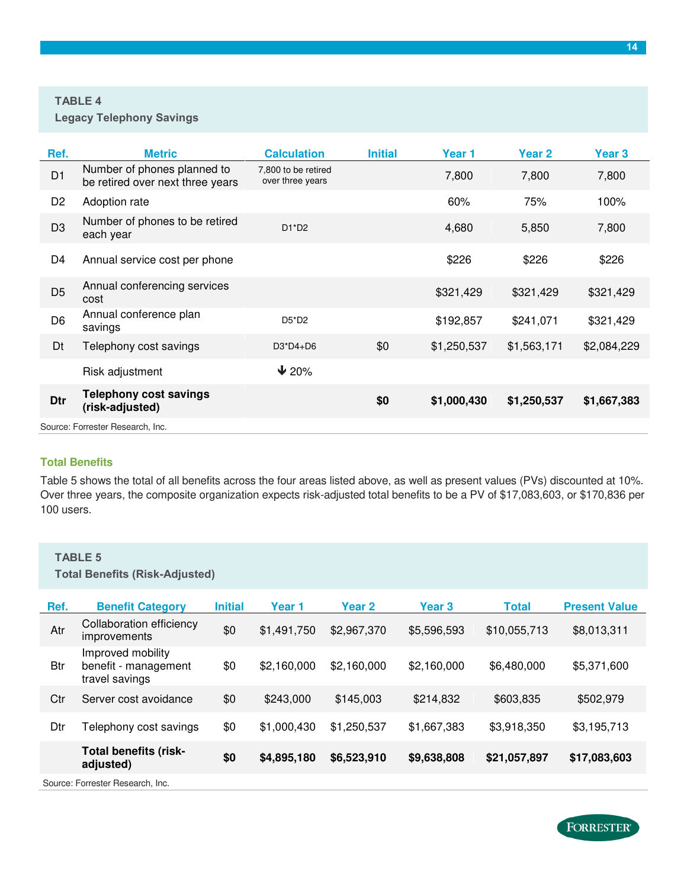#### **TABLE 4**

| Ref.           | <b>Metric</b>                                                   | <b>Calculation</b>                      | <b>Initial</b> | Year 1      | Year <sub>2</sub> | Year 3      |
|----------------|-----------------------------------------------------------------|-----------------------------------------|----------------|-------------|-------------------|-------------|
| D <sub>1</sub> | Number of phones planned to<br>be retired over next three years | 7,800 to be retired<br>over three years |                | 7,800       | 7,800             | 7,800       |
| D <sub>2</sub> | Adoption rate                                                   |                                         |                | 60%         | 75%               | 100%        |
| D <sub>3</sub> | Number of phones to be retired<br>each year                     | $D1^*D2$                                |                | 4,680       | 5,850             | 7,800       |
| D4             | Annual service cost per phone                                   |                                         |                | \$226       | \$226             | \$226       |
| D <sub>5</sub> | Annual conferencing services<br>cost                            |                                         |                | \$321,429   | \$321,429         | \$321,429   |
| D <sub>6</sub> | Annual conference plan<br>savings                               | $D5^*D2$                                |                | \$192,857   | \$241,071         | \$321,429   |
| Dt             | Telephony cost savings                                          | $D3^*D4+D6$                             | \$0            | \$1,250,537 | \$1,563,171       | \$2,084,229 |
|                | Risk adjustment                                                 | $\sqrt{20\%}$                           |                |             |                   |             |
| Dtr            | <b>Telephony cost savings</b><br>(risk-adjusted)                |                                         | \$0            | \$1,000,430 | \$1,250,537       | \$1,667,383 |
|                | Source: Forrester Research, Inc.                                |                                         |                |             |                   |             |

#### **Total Benefits**

Table 5 shows the total of all benefits across the four areas listed above, as well as present values (PVs) discounted at 10%. Over three years, the composite organization expects risk-adjusted total benefits to be a PV of \$17,083,603, or \$170,836 per 100 users.

#### **TABLE 5**

**Total Benefits (Risk-Adjusted)** 

| Ref.       | <b>Benefit Category</b>                                     | <b>Initial</b> | Year 1      | Year 2      | Year <sub>3</sub> | <b>Total</b> | <b>Present Value</b> |
|------------|-------------------------------------------------------------|----------------|-------------|-------------|-------------------|--------------|----------------------|
| Atr        | Collaboration efficiency<br>improvements                    | \$0            | \$1,491,750 | \$2,967,370 | \$5,596,593       | \$10,055,713 | \$8,013,311          |
| <b>Btr</b> | Improved mobility<br>benefit - management<br>travel savings | \$0            | \$2,160,000 | \$2,160,000 | \$2,160,000       | \$6,480,000  | \$5,371,600          |
| Ctr        | Server cost avoidance                                       | \$0            | \$243,000   | \$145,003   | \$214,832         | \$603,835    | \$502,979            |
| Dtr        | Felephony cost savings                                      | \$0            | \$1,000,430 | \$1,250,537 | \$1,667,383       | \$3,918,350  | \$3,195,713          |
|            | <b>Total benefits (risk-</b><br>adjusted)                   | \$0            | \$4,895,180 | \$6,523,910 | \$9,638,808       | \$21,057,897 | \$17,083,603         |
|            | Source: Forrester Research, Inc.                            |                |             |             |                   |              |                      |

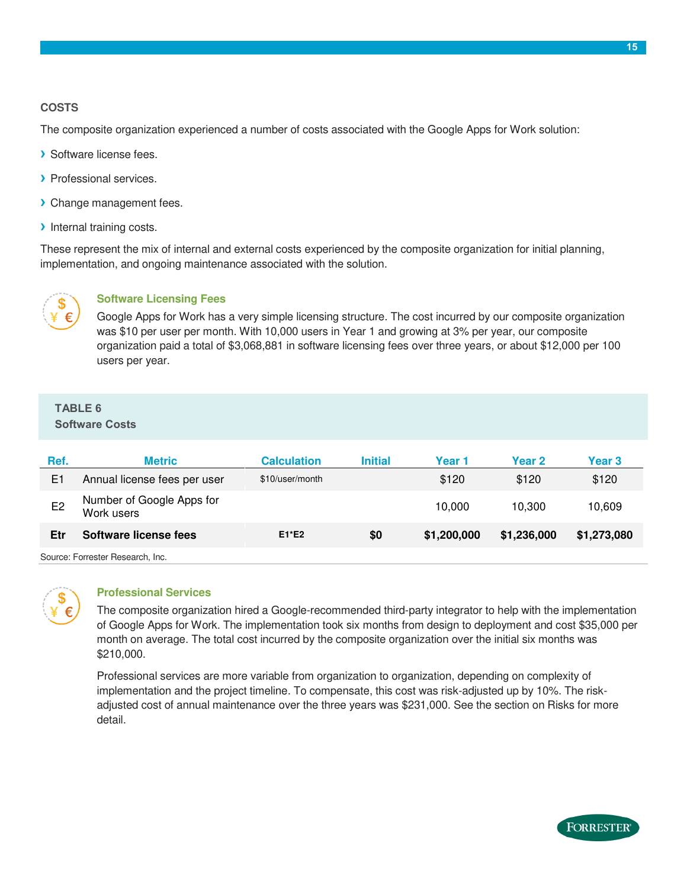#### **COSTS**

The composite organization experienced a number of costs associated with the Google Apps for Work solution:

- **›** Software license fees.
- **›** Professional services.
- **›** Change management fees.
- **›** Internal training costs.

These represent the mix of internal and external costs experienced by the composite organization for initial planning, implementation, and ongoing maintenance associated with the solution.



#### **Software Licensing Fees**

Google Apps for Work has a very simple licensing structure. The cost incurred by our composite organization was \$10 per user per month. With 10,000 users in Year 1 and growing at 3% per year, our composite organization paid a total of \$3,068,881 in software licensing fees over three years, or about \$12,000 per 100 users per year.

### **TABLE 6**

**Software Costs** 

| Ref.           | <b>Metric</b>                           | <b>Calculation</b> | <b>Initial</b> | Year 1      | <b>Year 2</b> | Year 3      |
|----------------|-----------------------------------------|--------------------|----------------|-------------|---------------|-------------|
| E1             | Annual license fees per user            | \$10/user/month    |                | \$120       | \$120         | \$120       |
| E <sub>2</sub> | Number of Google Apps for<br>Work users |                    |                | 10.000      | 10.300        | 10.609      |
| Etr            | Software license fees                   | $E1*E2$            | \$0            | \$1,200,000 | \$1,236,000   | \$1,273,080 |
|                | Oranger Francesco Descende des          |                    |                |             |               |             |

Source: Forrester Research, Inc.



#### **Professional Services**

The composite organization hired a Google-recommended third-party integrator to help with the implementation of Google Apps for Work. The implementation took six months from design to deployment and cost \$35,000 per month on average. The total cost incurred by the composite organization over the initial six months was \$210,000.

Professional services are more variable from organization to organization, depending on complexity of implementation and the project timeline. To compensate, this cost was risk-adjusted up by 10%. The riskadjusted cost of annual maintenance over the three years was \$231,000. See the section on Risks for more detail.

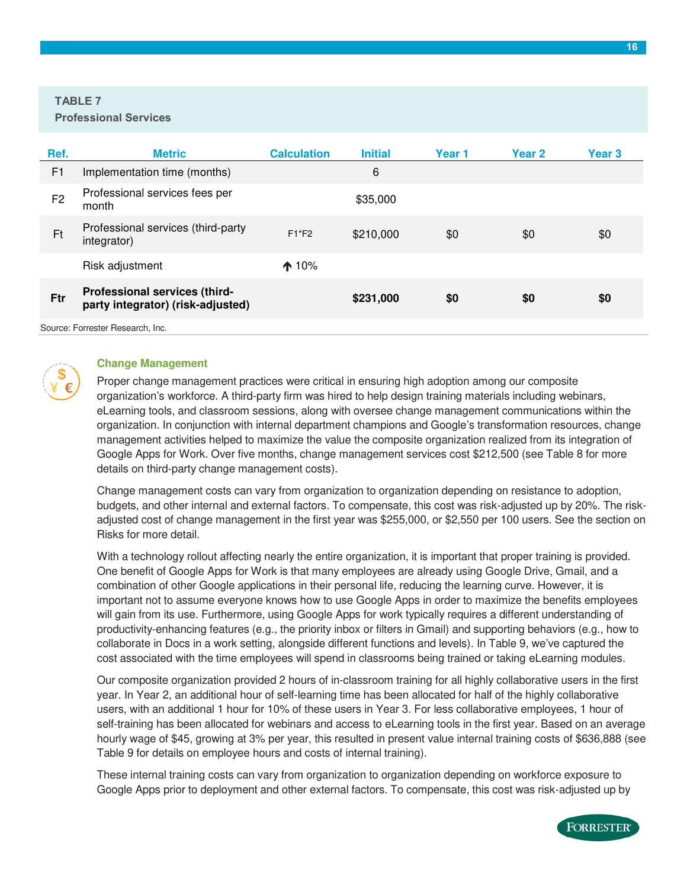#### **TABLE 7**

**Professional Services** 

| Ref.           | <b>Metric</b>                                                      | <b>Calculation</b> | <b>Initial</b> | Year 1 | Year <sub>2</sub> | <b>Year 3</b> |
|----------------|--------------------------------------------------------------------|--------------------|----------------|--------|-------------------|---------------|
| F <sub>1</sub> | Implementation time (months)                                       |                    | 6              |        |                   |               |
| F <sub>2</sub> | Professional services fees per<br>month                            |                    | \$35,000       |        |                   |               |
| Ft             | Professional services (third-party<br>integrator)                  | $F1*F2$            | \$210,000      | \$0    | \$0               | \$0           |
|                | Risk adjustment                                                    | $\spadesuit$ 10%   |                |        |                   |               |
| Ftr            | Professional services (third-<br>party integrator) (risk-adjusted) |                    | \$231,000      | \$0    | \$0               | \$0           |
|                | Course: Estractor Desparab Ing                                     |                    |                |        |                   |               |

Source: Forrester Research, Inc.



#### **Change Management**

Proper change management practices were critical in ensuring high adoption among our composite organization's workforce. A third-party firm was hired to help design training materials including webinars, eLearning tools, and classroom sessions, along with oversee change management communications within the organization. In conjunction with internal department champions and Google's transformation resources, change management activities helped to maximize the value the composite organization realized from its integration of Google Apps for Work. Over five months, change management services cost \$212,500 (see Table 8 for more details on third-party change management costs).

Change management costs can vary from organization to organization depending on resistance to adoption, budgets, and other internal and external factors. To compensate, this cost was risk-adjusted up by 20%. The riskadjusted cost of change management in the first year was \$255,000, or \$2,550 per 100 users. See the section on Risks for more detail.

With a technology rollout affecting nearly the entire organization, it is important that proper training is provided. One benefit of Google Apps for Work is that many employees are already using Google Drive, Gmail, and a combination of other Google applications in their personal life, reducing the learning curve. However, it is important not to assume everyone knows how to use Google Apps in order to maximize the benefits employees will gain from its use. Furthermore, using Google Apps for work typically requires a different understanding of productivity-enhancing features (e.g., the priority inbox or filters in Gmail) and supporting behaviors (e.g., how to collaborate in Docs in a work setting, alongside different functions and levels). In Table 9, we've captured the cost associated with the time employees will spend in classrooms being trained or taking eLearning modules.

Our composite organization provided 2 hours of in-classroom training for all highly collaborative users in the first year. In Year 2, an additional hour of self-learning time has been allocated for half of the highly collaborative users, with an additional 1 hour for 10% of these users in Year 3. For less collaborative employees, 1 hour of self-training has been allocated for webinars and access to eLearning tools in the first year. Based on an average hourly wage of \$45, growing at 3% per year, this resulted in present value internal training costs of \$636,888 (see Table 9 for details on employee hours and costs of internal training).

These internal training costs can vary from organization to organization depending on workforce exposure to Google Apps prior to deployment and other external factors. To compensate, this cost was risk-adjusted up by

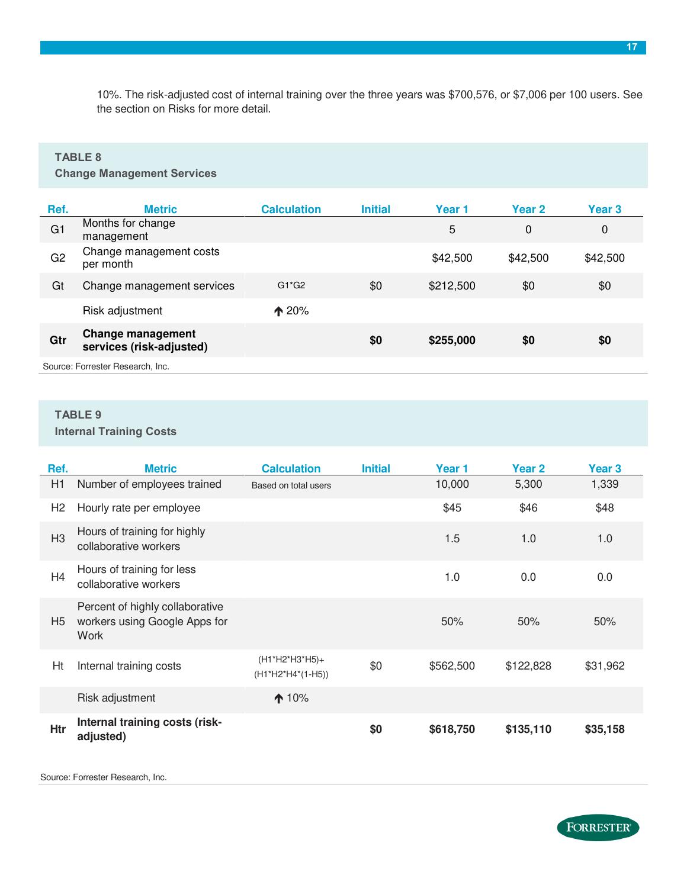10%. The risk-adjusted cost of internal training over the three years was \$700,576, or \$7,006 per 100 users. See the section on Risks for more detail.

#### **TABLE 8**

**Change Management Services** 

| Ref.           | <b>Metric</b>                                        | <b>Calculation</b> | <b>Initial</b> | Year 1    | <b>Year 2</b> | Year 3   |
|----------------|------------------------------------------------------|--------------------|----------------|-----------|---------------|----------|
| G <sub>1</sub> | Months for change<br>management                      |                    |                | 5         | 0             | 0        |
| G <sub>2</sub> | Change management costs<br>per month                 |                    |                | \$42,500  | \$42,500      | \$42,500 |
| Gt             | Change management services                           | $G1*G2$            | \$0            | \$212,500 | \$0           | \$0      |
|                | Risk adjustment                                      | $\triangle 20%$    |                |           |               |          |
| Gtr            | <b>Change management</b><br>services (risk-adjusted) |                    | \$0            | \$255,000 | \$0           | \$0      |
|                | Source: Forrester Research, Inc.                     |                    |                |           |               |          |

### **TABLE 9**

**Internal Training Costs** 

| Ref.           | <b>Metric</b>                                                            | <b>Calculation</b>                  | <b>Initial</b> | Year 1    | <b>Year 2</b> | Year 3   |
|----------------|--------------------------------------------------------------------------|-------------------------------------|----------------|-----------|---------------|----------|
| H1             | Number of employees trained                                              | Based on total users                |                | 10,000    | 5,300         | 1,339    |
| H <sub>2</sub> | Hourly rate per employee                                                 |                                     |                | \$45      | \$46          | \$48     |
| H <sub>3</sub> | Hours of training for highly<br>collaborative workers                    |                                     |                | 1.5       | 1.0           | 1.0      |
| H <sub>4</sub> | Hours of training for less<br>collaborative workers                      |                                     |                | 1.0       | 0.0           | 0.0      |
| H <sub>5</sub> | Percent of highly collaborative<br>workers using Google Apps for<br>Work |                                     |                | 50%       | 50%           | 50%      |
| Ht             | Internal training costs                                                  | (H1*H2*H3*H5)+<br>(H1*H2*H4*(1-H5)) | \$0            | \$562,500 | \$122,828     | \$31,962 |
|                | Risk adjustment                                                          | $\bigwedge$ 10%                     |                |           |               |          |
| <b>Htr</b>     | Internal training costs (risk-<br>adjusted)                              |                                     | \$0            | \$618,750 | \$135,110     | \$35,158 |

Source: Forrester Research, Inc.

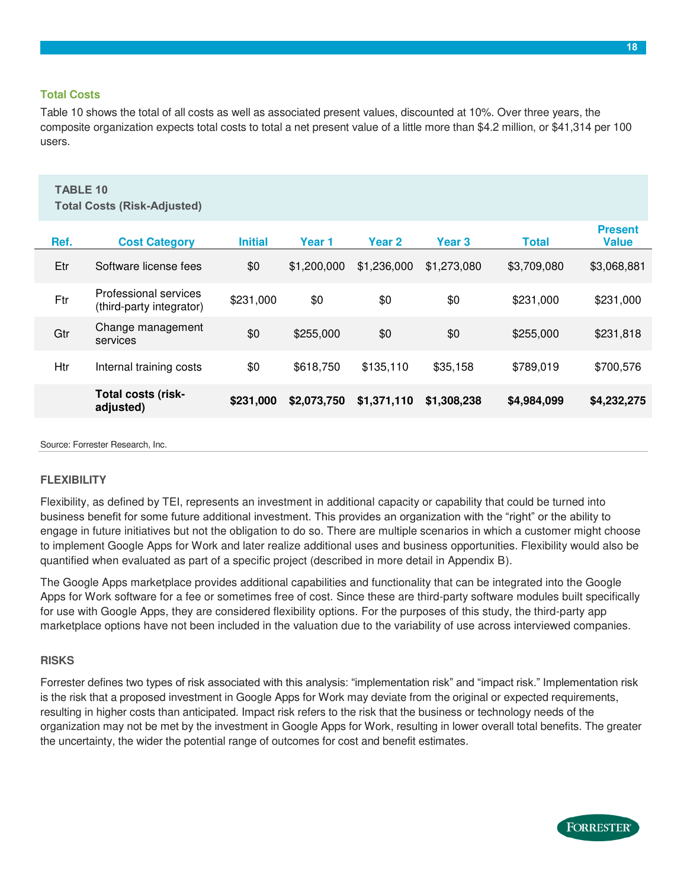#### **Total Costs**

Table 10 shows the total of all costs as well as associated present values, discounted at 10%. Over three years, the composite organization expects total costs to total a net present value of a little more than \$4.2 million, or \$41,314 per 100 users.

### **TABLE 10**

**Total Costs (Risk-Adjusted)** 

| Ref. | <b>Cost Category</b>                              | <b>Initial</b> | Year 1      | <b>Year 2</b> | Year <sub>3</sub> | <b>Total</b> | <b>Present</b><br><b>Value</b> |
|------|---------------------------------------------------|----------------|-------------|---------------|-------------------|--------------|--------------------------------|
| Etr  | Software license fees                             | \$0            | \$1,200,000 | \$1,236,000   | \$1,273,080       | \$3,709,080  | \$3,068,881                    |
| Ftr  | Professional services<br>(third-party integrator) | \$231,000      | \$0         | \$0           | \$0               | \$231,000    | \$231,000                      |
| Gtr  | Change management<br>services                     | \$0            | \$255,000   | \$0           | \$0               | \$255,000    | \$231,818                      |
| Htr  | Internal training costs                           | \$0            | \$618,750   | \$135,110     | \$35,158          | \$789,019    | \$700,576                      |
|      | <b>Total costs (risk-</b><br>adjusted)            | \$231,000      | \$2,073,750 | \$1,371,110   | \$1,308,238       | \$4,984,099  | \$4,232,275                    |
|      |                                                   |                |             |               |                   |              |                                |

Source: Forrester Research, Inc.

#### **FLEXIBILITY**

Flexibility, as defined by TEI, represents an investment in additional capacity or capability that could be turned into business benefit for some future additional investment. This provides an organization with the "right" or the ability to engage in future initiatives but not the obligation to do so. There are multiple scenarios in which a customer might choose to implement Google Apps for Work and later realize additional uses and business opportunities. Flexibility would also be quantified when evaluated as part of a specific project (described in more detail in Appendix B).

The Google Apps marketplace provides additional capabilities and functionality that can be integrated into the Google Apps for Work software for a fee or sometimes free of cost. Since these are third-party software modules built specifically for use with Google Apps, they are considered flexibility options. For the purposes of this study, the third-party app marketplace options have not been included in the valuation due to the variability of use across interviewed companies.

#### **RISKS**

Forrester defines two types of risk associated with this analysis: "implementation risk" and "impact risk." Implementation risk is the risk that a proposed investment in Google Apps for Work may deviate from the original or expected requirements, resulting in higher costs than anticipated. Impact risk refers to the risk that the business or technology needs of the organization may not be met by the investment in Google Apps for Work, resulting in lower overall total benefits. The greater the uncertainty, the wider the potential range of outcomes for cost and benefit estimates.

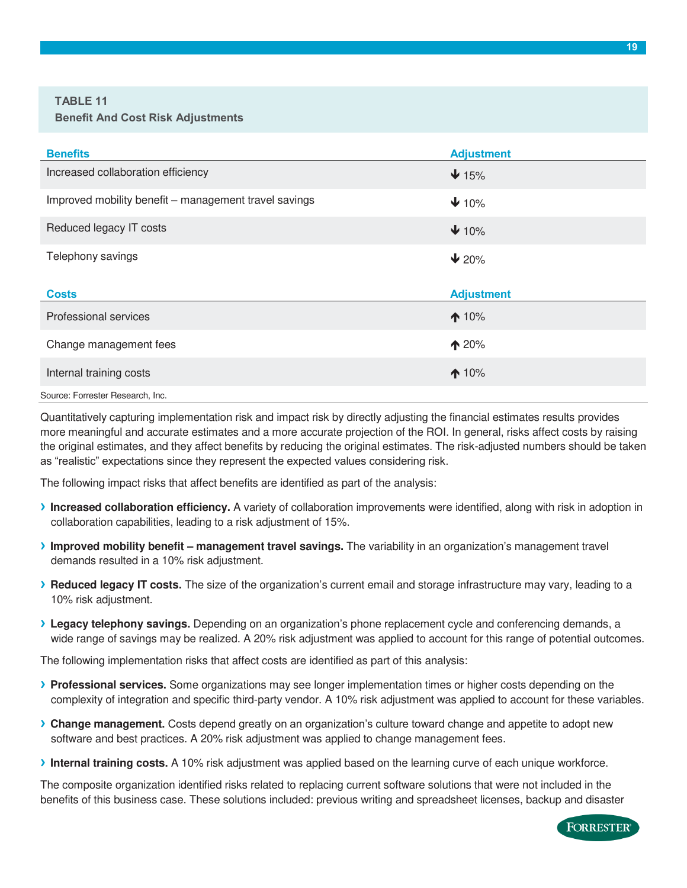#### **TABLE 11 Benefit And Cost Risk Adjustments**

| <b>Benefits</b>                                       | <b>Adjustment</b> |
|-------------------------------------------------------|-------------------|
| Increased collaboration efficiency                    | $\bigvee$ 15%     |
| Improved mobility benefit - management travel savings | $\downarrow$ 10%  |
| Reduced legacy IT costs                               | $\downarrow$ 10%  |
| Telephony savings                                     | $\vee$ 20%        |
|                                                       |                   |
| <b>Costs</b>                                          | <b>Adjustment</b> |
| Professional services                                 | $\bigwedge$ 10%   |
| Change management fees                                | $\spadesuit$ 20%  |
| Internal training costs                               | $\bigwedge$ 10%   |

Quantitatively capturing implementation risk and impact risk by directly adjusting the financial estimates results provides more meaningful and accurate estimates and a more accurate projection of the ROI. In general, risks affect costs by raising the original estimates, and they affect benefits by reducing the original estimates. The risk-adjusted numbers should be taken as "realistic" expectations since they represent the expected values considering risk.

The following impact risks that affect benefits are identified as part of the analysis:

- **› Increased collaboration efficiency.** A variety of collaboration improvements were identified, along with risk in adoption in collaboration capabilities, leading to a risk adjustment of 15%.
- **›** Improved mobility benefit management travel savings. The variability in an organization's management travel demands resulted in a 10% risk adjustment.
- **› Reduced legacy IT costs.** The size of the organization's current email and storage infrastructure may vary, leading to a 10% risk adjustment.
- **› Legacy telephony savings.** Depending on an organization's phone replacement cycle and conferencing demands, a wide range of savings may be realized. A 20% risk adjustment was applied to account for this range of potential outcomes.

The following implementation risks that affect costs are identified as part of this analysis:

- **› Professional services.** Some organizations may see longer implementation times or higher costs depending on the complexity of integration and specific third-party vendor. A 10% risk adjustment was applied to account for these variables.
- **› Change management.** Costs depend greatly on an organization's culture toward change and appetite to adopt new software and best practices. A 20% risk adjustment was applied to change management fees.
- **› Internal training costs.** A 10% risk adjustment was applied based on the learning curve of each unique workforce.

The composite organization identified risks related to replacing current software solutions that were not included in the benefits of this business case. These solutions included: previous writing and spreadsheet licenses, backup and disaster

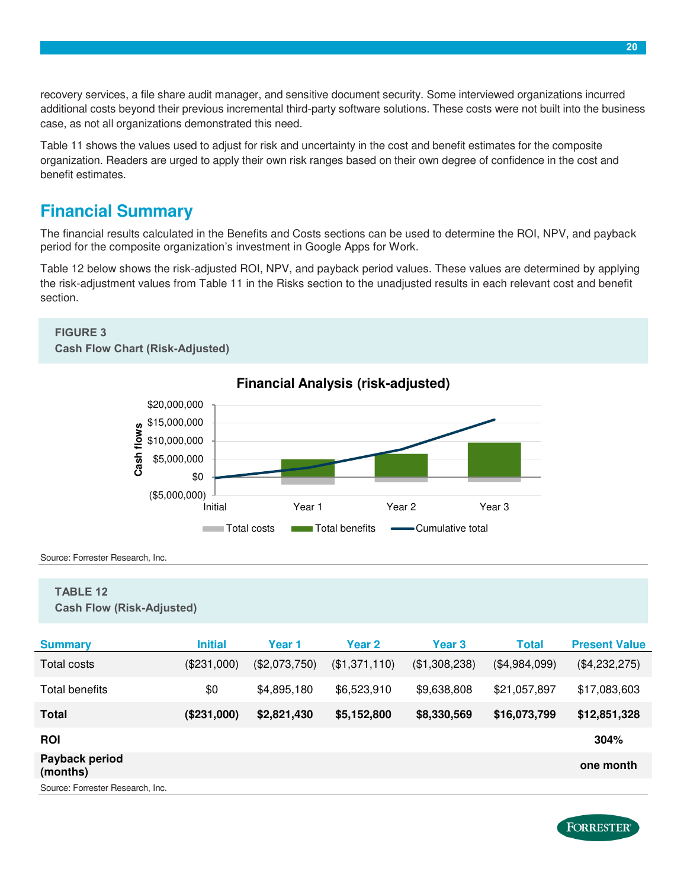recovery services, a file share audit manager, and sensitive document security. Some interviewed organizations incurred additional costs beyond their previous incremental third-party software solutions. These costs were not built into the business case, as not all organizations demonstrated this need.

Table 11 shows the values used to adjust for risk and uncertainty in the cost and benefit estimates for the composite organization. Readers are urged to apply their own risk ranges based on their own degree of confidence in the cost and benefit estimates.

### <span id="page-19-0"></span>**Financial Summary**

The financial results calculated in the Benefits and Costs sections can be used to determine the ROI, NPV, and payback period for the composite organization's investment in Google Apps for Work.

Table 12 below shows the risk-adjusted ROI, NPV, and payback period values. These values are determined by applying the risk-adjustment values from Table 11 in the Risks section to the unadjusted results in each relevant cost and benefit section.

#### **FIGURE 3 Cash Flow Chart (Risk-Adjusted)**



**Financial Analysis (risk-adjusted)** 

Source: Forrester Research, Inc.

#### **TABLE 12**

**Cash Flow (Risk-Adjusted)** 

| <b>Summary</b>                   | <b>Initial</b> | Year 1        | <b>Year 2</b> | <b>Year 3</b> | Total         | <b>Present Value</b> |
|----------------------------------|----------------|---------------|---------------|---------------|---------------|----------------------|
| Total costs                      | (\$231,000)    | (\$2,073,750) | (\$1,371,110) | (\$1,308,238) | (\$4,984,099) | (\$4,232,275)        |
| Total benefits                   | \$0            | \$4,895,180   | \$6,523,910   | \$9,638,808   | \$21,057,897  | \$17,083,603         |
| <b>Total</b>                     | (\$231,000)    | \$2,821,430   | \$5,152,800   | \$8,330,569   | \$16,073,799  | \$12,851,328         |
| <b>ROI</b>                       |                |               |               |               |               | 304%                 |
| Payback period<br>(months)       |                |               |               |               |               | one month            |
| Source: Forrester Research, Inc. |                |               |               |               |               |                      |

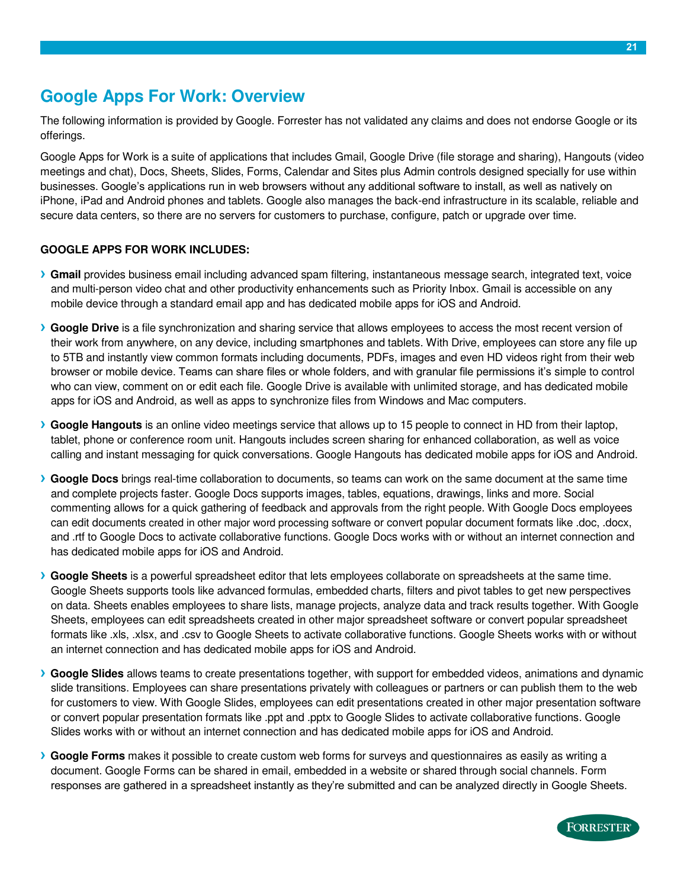### <span id="page-20-0"></span>**Google Apps For Work: Overview**

The following information is provided by Google. Forrester has not validated any claims and does not endorse Google or its offerings.

Google Apps for Work is a suite of applications that includes Gmail, Google Drive (file storage and sharing), Hangouts (video meetings and chat), Docs, Sheets, Slides, Forms, Calendar and Sites plus Admin controls designed specially for use within businesses. Google's applications run in web browsers without any additional software to install, as well as natively on iPhone, iPad and Android phones and tablets. Google also manages the back-end infrastructure in its scalable, reliable and secure data centers, so there are no servers for customers to purchase, configure, patch or upgrade over time.

#### **GOOGLE APPS FOR WORK INCLUDES:**

- **› Gmail** provides business email including advanced spam filtering, instantaneous message search, integrated text, voice and multi-person video chat and other productivity enhancements such as Priority Inbox. Gmail is accessible on any mobile device through a standard email app and has dedicated mobile apps for iOS and Android.
- **› Google Drive** is a file synchronization and sharing service that allows employees to access the most recent version of their work from anywhere, on any device, including smartphones and tablets. With Drive, employees can store any file up to 5TB and instantly view common formats including documents, PDFs, images and even HD videos right from their web browser or mobile device. Teams can share files or whole folders, and with granular file permissions it's simple to control who can view, comment on or edit each file. Google Drive is available with unlimited storage, and has dedicated mobile apps for iOS and Android, as well as apps to synchronize files from Windows and Mac computers.
- **› Google Hangouts** is an online video meetings service that allows up to 15 people to connect in HD from their laptop, tablet, phone or conference room unit. Hangouts includes screen sharing for enhanced collaboration, as well as voice calling and instant messaging for quick conversations. Google Hangouts has dedicated mobile apps for iOS and Android.
- **› Google Docs** brings real-time collaboration to documents, so teams can work on the same document at the same time and complete projects faster. Google Docs supports images, tables, equations, drawings, links and more. Social commenting allows for a quick gathering of feedback and approvals from the right people. With Google Docs employees can edit documents created in other major word processing software or convert popular document formats like .doc, .docx, and .rtf to Google Docs to activate collaborative functions. Google Docs works with or without an internet connection and has dedicated mobile apps for iOS and Android.
- **› Google Sheets** is a powerful spreadsheet editor that lets employees collaborate on spreadsheets at the same time. Google Sheets supports tools like advanced formulas, embedded charts, filters and pivot tables to get new perspectives on data. Sheets enables employees to share lists, manage projects, analyze data and track results together. With Google Sheets, employees can edit spreadsheets created in other major spreadsheet software or convert popular spreadsheet formats like .xls, .xlsx, and .csv to Google Sheets to activate collaborative functions. Google Sheets works with or without an internet connection and has dedicated mobile apps for iOS and Android.
- **› Google Slides** allows teams to create presentations together, with support for embedded videos, animations and dynamic slide transitions. Employees can share presentations privately with colleagues or partners or can publish them to the web for customers to view. With Google Slides, employees can edit presentations created in other major presentation software or convert popular presentation formats like .ppt and .pptx to Google Slides to activate collaborative functions. Google Slides works with or without an internet connection and has dedicated mobile apps for iOS and Android.
- **› Google Forms** makes it possible to create custom web forms for surveys and questionnaires as easily as writing a document. Google Forms can be shared in email, embedded in a website or shared through social channels. Form responses are gathered in a spreadsheet instantly as they're submitted and can be analyzed directly in Google Sheets.

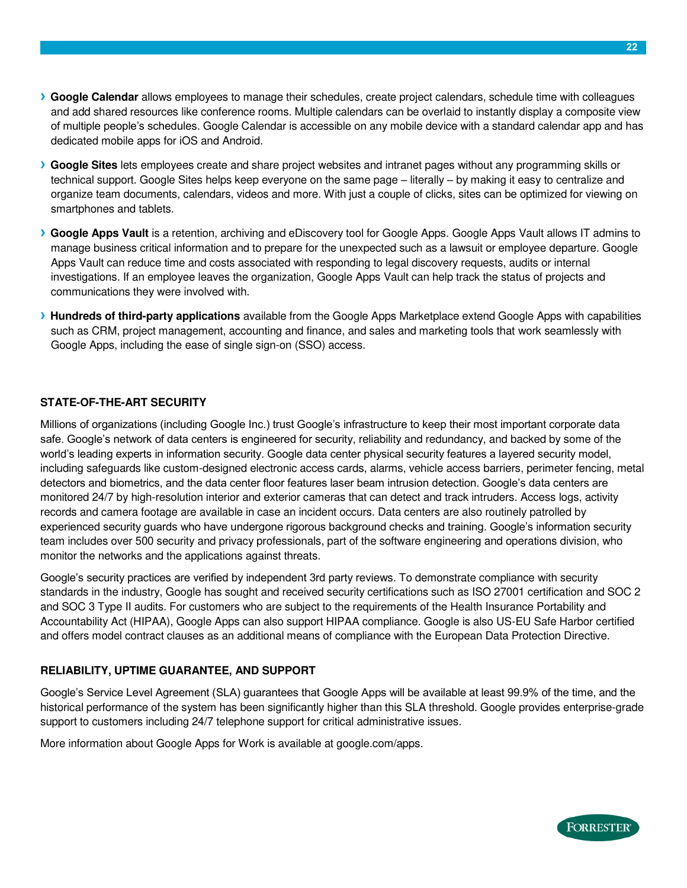- **› Google Calendar** allows employees to manage their schedules, create project calendars, schedule time with colleagues and add shared resources like conference rooms. Multiple calendars can be overlaid to instantly display a composite view of multiple people's schedules. Google Calendar is accessible on any mobile device with a standard calendar app and has dedicated mobile apps for iOS and Android.
- **› Google Sites** lets employees create and share project websites and intranet pages without any programming skills or technical support. Google Sites helps keep everyone on the same page – literally – by making it easy to centralize and organize team documents, calendars, videos and more. With just a couple of clicks, sites can be optimized for viewing on smartphones and tablets.
- **› Google Apps Vault** is a retention, archiving and eDiscovery tool for Google Apps. Google Apps Vault allows IT admins to manage business critical information and to prepare for the unexpected such as a lawsuit or employee departure. Google Apps Vault can reduce time and costs associated with responding to legal discovery requests, audits or internal investigations. If an employee leaves the organization, Google Apps Vault can help track the status of projects and communications they were involved with.
- **› Hundreds of third-party applications** available from the Google Apps Marketplace extend Google Apps with capabilities such as CRM, project management, accounting and finance, and sales and marketing tools that work seamlessly with Google Apps, including the ease of single sign-on (SSO) access.

#### **STATE-OF-THE-ART SECURITY**

Millions of organizations (including Google Inc.) trust Google's infrastructure to keep their most important corporate data safe. Google's network of data centers is engineered for security, reliability and redundancy, and backed by some of the world's leading experts in information security. Google data center physical security features a layered security model, including safeguards like custom-designed electronic access cards, alarms, vehicle access barriers, perimeter fencing, metal detectors and biometrics, and the data center floor features laser beam intrusion detection. Google's data centers are monitored 24/7 by high-resolution interior and exterior cameras that can detect and track intruders. Access logs, activity records and camera footage are available in case an incident occurs. Data centers are also routinely patrolled by experienced security guards who have undergone rigorous background checks and training. Google's information security team includes over 500 security and privacy professionals, part of the software engineering and operations division, who monitor the networks and the applications against threats.

Google's security practices are verified by independent 3rd party reviews. To demonstrate compliance with security standards in the industry, Google has sought and received security certifications such as ISO 27001 certification and SOC 2 and SOC 3 Type II audits. For customers who are subject to the requirements of the Health Insurance Portability and Accountability Act (HIPAA), Google Apps can also support HIPAA compliance. Google is also US-EU Safe Harbor certified and offers model contract clauses as an additional means of compliance with the European Data Protection Directive.

#### **RELIABILITY, UPTIME GUARANTEE, AND SUPPORT**

Google's Service Level Agreement (SLA) guarantees that Google Apps will be available at least 99.9% of the time, and the historical performance of the system has been significantly higher than this SLA threshold. Google provides enterprise-grade support to customers including 24/7 telephone support for critical administrative issues.

More information about Google Apps for Work is available at google.com/apps.

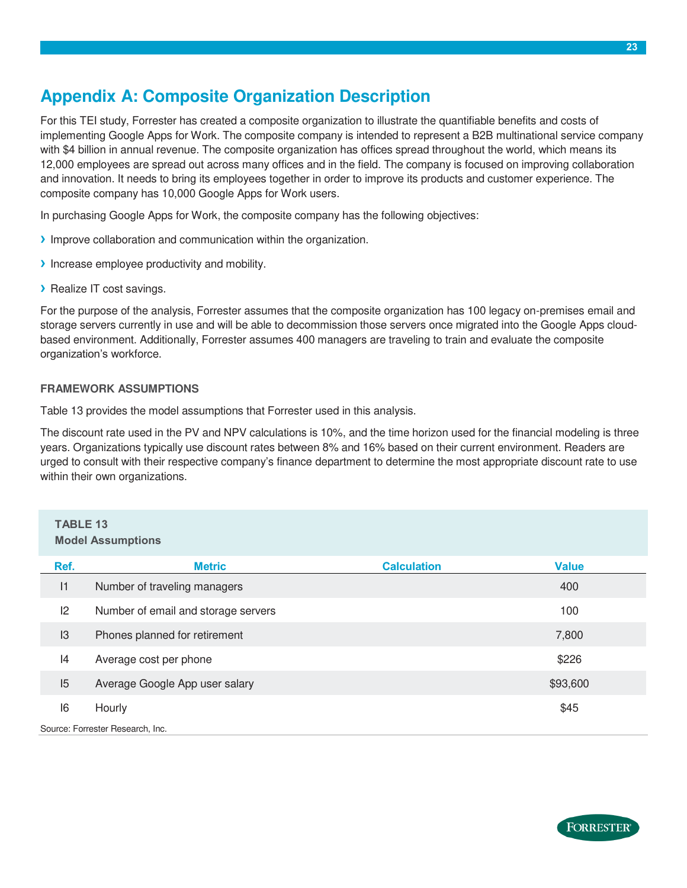# <span id="page-22-0"></span>**Appendix A: Composite Organization Description**

For this TEI study, Forrester has created a composite organization to illustrate the quantifiable benefits and costs of implementing Google Apps for Work. The composite company is intended to represent a B2B multinational service company with \$4 billion in annual revenue. The composite organization has offices spread throughout the world, which means its 12,000 employees are spread out across many offices and in the field. The company is focused on improving collaboration and innovation. It needs to bring its employees together in order to improve its products and customer experience. The composite company has 10,000 Google Apps for Work users.

In purchasing Google Apps for Work, the composite company has the following objectives:

- **›** Improve collaboration and communication within the organization.
- **›** Increase employee productivity and mobility.
- **›** Realize IT cost savings.

For the purpose of the analysis, Forrester assumes that the composite organization has 100 legacy on-premises email and storage servers currently in use and will be able to decommission those servers once migrated into the Google Apps cloudbased environment. Additionally, Forrester assumes 400 managers are traveling to train and evaluate the composite organization's workforce.

#### **FRAMEWORK ASSUMPTIONS**

Table 13 provides the model assumptions that Forrester used in this analysis.

The discount rate used in the PV and NPV calculations is 10%, and the time horizon used for the financial modeling is three years. Organizations typically use discount rates between 8% and 16% based on their current environment. Readers are urged to consult with their respective company's finance department to determine the most appropriate discount rate to use within their own organizations.

#### **TABLE 13 Model Assumptions**

| Ref.                             | <b>Metric</b>                       | <b>Calculation</b> | <b>Value</b> |  |  |
|----------------------------------|-------------------------------------|--------------------|--------------|--|--|
| 1                                | Number of traveling managers        |                    | 400          |  |  |
| 2                                | Number of email and storage servers |                    | 100          |  |  |
| 13                               | Phones planned for retirement       |                    | 7,800        |  |  |
| 14                               | Average cost per phone              |                    | \$226        |  |  |
| 15                               | Average Google App user salary      |                    | \$93,600     |  |  |
| 16                               | Hourly                              |                    | \$45         |  |  |
| Source: Forrester Research, Inc. |                                     |                    |              |  |  |

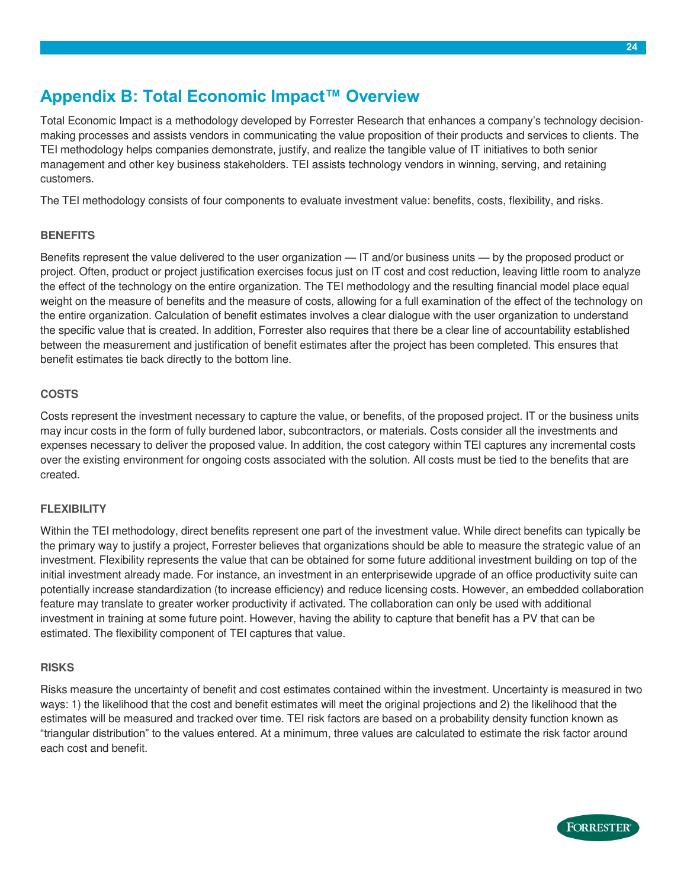### <span id="page-23-0"></span>**Appendix B: Total Economic Impact™ Overview**

Total Economic Impact is a methodology developed by Forrester Research that enhances a company's technology decisionmaking processes and assists vendors in communicating the value proposition of their products and services to clients. The TEI methodology helps companies demonstrate, justify, and realize the tangible value of IT initiatives to both senior management and other key business stakeholders. TEI assists technology vendors in winning, serving, and retaining customers.

The TEI methodology consists of four components to evaluate investment value: benefits, costs, flexibility, and risks.

#### **BENEFITS**

Benefits represent the value delivered to the user organization — IT and/or business units — by the proposed product or project. Often, product or project justification exercises focus just on IT cost and cost reduction, leaving little room to analyze the effect of the technology on the entire organization. The TEI methodology and the resulting financial model place equal weight on the measure of benefits and the measure of costs, allowing for a full examination of the effect of the technology on the entire organization. Calculation of benefit estimates involves a clear dialogue with the user organization to understand the specific value that is created. In addition, Forrester also requires that there be a clear line of accountability established between the measurement and justification of benefit estimates after the project has been completed. This ensures that benefit estimates tie back directly to the bottom line.

#### **COSTS**

Costs represent the investment necessary to capture the value, or benefits, of the proposed project. IT or the business units may incur costs in the form of fully burdened labor, subcontractors, or materials. Costs consider all the investments and expenses necessary to deliver the proposed value. In addition, the cost category within TEI captures any incremental costs over the existing environment for ongoing costs associated with the solution. All costs must be tied to the benefits that are created.

#### **FLEXIBILITY**

Within the TEI methodology, direct benefits represent one part of the investment value. While direct benefits can typically be the primary way to justify a project, Forrester believes that organizations should be able to measure the strategic value of an investment. Flexibility represents the value that can be obtained for some future additional investment building on top of the initial investment already made. For instance, an investment in an enterprisewide upgrade of an office productivity suite can potentially increase standardization (to increase efficiency) and reduce licensing costs. However, an embedded collaboration feature may translate to greater worker productivity if activated. The collaboration can only be used with additional investment in training at some future point. However, having the ability to capture that benefit has a PV that can be estimated. The flexibility component of TEI captures that value.

#### **RISKS**

Risks measure the uncertainty of benefit and cost estimates contained within the investment. Uncertainty is measured in two ways: 1) the likelihood that the cost and benefit estimates will meet the original projections and 2) the likelihood that the estimates will be measured and tracked over time. TEI risk factors are based on a probability density function known as "triangular distribution" to the values entered. At a minimum, three values are calculated to estimate the risk factor around each cost and benefit.